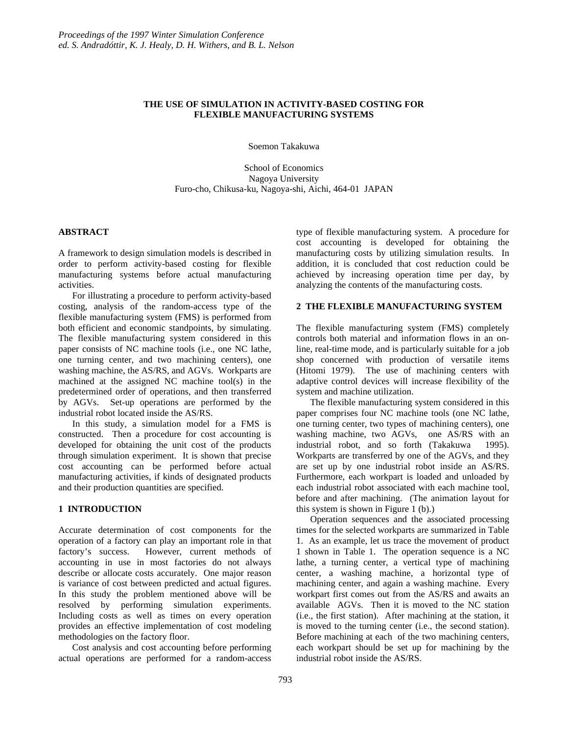# **THE USE OF SIMULATION IN ACTIVITY-BASED COSTING FOR FLEXIBLE MANUFACTURING SYSTEMS**

Soemon Takakuwa

School of Economics Nagoya University Furo-cho, Chikusa-ku, Nagoya-shi, Aichi, 464-01 JAPAN

### **ABSTRACT**

A framework to design simulation models is described in order to perform activity-based costing for flexible manufacturing systems before actual manufacturing activities.

For illustrating a procedure to perform activity-based costing, analysis of the random-access type of the flexible manufacturing system (FMS) is performed from both efficient and economic standpoints, by simulating. The flexible manufacturing system considered in this paper consists of NC machine tools (i.e., one NC lathe, one turning center, and two machining centers), one washing machine, the AS/RS, and AGVs. Workparts are machined at the assigned NC machine tool(s) in the predetermined order of operations, and then transferred by AGVs. Set-up operations are performed by the industrial robot located inside the AS/RS.

In this study, a simulation model for a FMS is constructed. Then a procedure for cost accounting is developed for obtaining the unit cost of the products through simulation experiment. It is shown that precise cost accounting can be performed before actual manufacturing activities, if kinds of designated products and their production quantities are specified.

### **1 INTRODUCTION**

Accurate determination of cost components for the operation of a factory can play an important role in that factory's success. However, current methods of accounting in use in most factories do not always describe or allocate costs accurately. One major reason is variance of cost between predicted and actual figures. In this study the problem mentioned above will be resolved by performing simulation experiments. Including costs as well as times on every operation provides an effective implementation of cost modeling methodologies on the factory floor.

Cost analysis and cost accounting before performing actual operations are performed for a random-access type of flexible manufacturing system. A procedure for cost accounting is developed for obtaining the manufacturing costs by utilizing simulation results. In addition, it is concluded that cost reduction could be achieved by increasing operation time per day, by analyzing the contents of the manufacturing costs.

### **2 THE FLEXIBLE MANUFACTURING SYSTEM**

The flexible manufacturing system (FMS) completely controls both material and information flows in an online, real-time mode, and is particularly suitable for a job shop concerned with production of versatile items (Hitomi 1979). The use of machining centers with adaptive control devices will increase flexibility of the system and machine utilization.

The flexible manufacturing system considered in this paper comprises four NC machine tools (one NC lathe, one turning center, two types of machining centers), one washing machine, two AGVs, one AS/RS with an industrial robot, and so forth (Takakuwa 1995). Workparts are transferred by one of the AGVs, and they are set up by one industrial robot inside an AS/RS. Furthermore, each workpart is loaded and unloaded by each industrial robot associated with each machine tool, before and after machining. (The animation layout for this system is shown in Figure 1 (b).)

Operation sequences and the associated processing times for the selected workparts are summarized in Table 1. As an example, let us trace the movement of product 1 shown in Table 1. The operation sequence is a NC lathe, a turning center, a vertical type of machining center, a washing machine, a horizontal type of machining center, and again a washing machine. Every workpart first comes out from the AS/RS and awaits an available AGVs. Then it is moved to the NC station (i.e., the first station). After machining at the station, it is moved to the turning center (i.e., the second station). Before machining at each of the two machining centers, each workpart should be set up for machining by the industrial robot inside the AS/RS.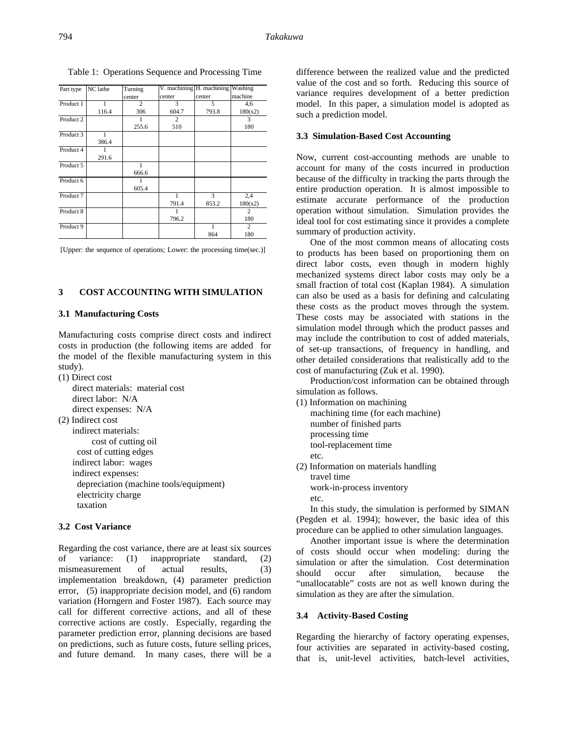| Part type | NC lathe | Turning        |                | V. machining H. machining Washing |         |  |
|-----------|----------|----------------|----------------|-----------------------------------|---------|--|
|           |          | center         | center         | center                            | machine |  |
| Product 1 |          | $\overline{2}$ | 3              | 5                                 | 4,6     |  |
|           | 116.4    | 306            | 604.7          | 793.8                             | 180(x2) |  |
| Product 2 |          |                | $\overline{c}$ |                                   | 3       |  |
|           |          | 255.6          | 510            |                                   | 180     |  |
| Product 3 | 1        |                |                |                                   |         |  |
|           | 386.4    |                |                |                                   |         |  |
| Product 4 |          |                |                |                                   |         |  |
|           | 291.6    |                |                |                                   |         |  |
| Product 5 |          | 1              |                |                                   |         |  |
|           |          | 666.6          |                |                                   |         |  |
| Product 6 |          |                |                |                                   |         |  |
|           |          | 605.4          |                |                                   |         |  |
| Product 7 |          |                | 1              | 3                                 | 2,4     |  |
|           |          |                | 791.4          | 853.2                             | 180(x2) |  |
| Product 8 |          |                |                |                                   | 2       |  |
|           |          |                | 796.2          |                                   | 180     |  |
| Product 9 |          |                |                |                                   | 2       |  |
|           |          |                |                | 864                               | 180     |  |

Table 1: Operations Sequence and Processing Time

[Upper: the sequence of operations; Lower: the processing time(sec.)]

#### **3 COST ACCOUNTING WITH SIMULATION**

# **3.1 Manufacturing Costs**

Manufacturing costs comprise direct costs and indirect costs in production (the following items are added for the model of the flexible manufacturing system in this study).

(1) Direct cost direct materials: material cost direct labor: N/A direct expenses: N/A

(2) Indirect cost indirect materials: cost of cutting oil cost of cutting edges indirect labor: wages indirect expenses: depreciation (machine tools/equipment) electricity charge taxation

### **3.2 Cost Variance**

Regarding the cost variance, there are at least six sources of variance: (1) inappropriate standard, (2) mismeasurement of actual results, (3) implementation breakdown, (4) parameter prediction error, (5) inappropriate decision model, and (6) random variation (Horngern and Foster 1987). Each source may call for different corrective actions, and all of these corrective actions are costly. Especially, regarding the parameter prediction error, planning decisions are based on predictions, such as future costs, future selling prices, and future demand. In many cases, there will be a difference between the realized value and the predicted value of the cost and so forth. Reducing this source of variance requires development of a better prediction model. In this paper, a simulation model is adopted as such a prediction model.

### **3.3 Simulation-Based Cost Accounting**

Now, current cost-accounting methods are unable to account for many of the costs incurred in production because of the difficulty in tracking the parts through the entire production operation. It is almost impossible to estimate accurate performance of the production operation without simulation. Simulation provides the ideal tool for cost estimating since it provides a complete summary of production activity.

One of the most common means of allocating costs to products has been based on proportioning them on direct labor costs, even though in modern highly mechanized systems direct labor costs may only be a small fraction of total cost (Kaplan 1984). A simulation can also be used as a basis for defining and calculating these costs as the product moves through the system. These costs may be associated with stations in the simulation model through which the product passes and may include the contribution to cost of added materials, of set-up transactions, of frequency in handling, and other detailed considerations that realistically add to the cost of manufacturing (Zuk et al. 1990).

Production/cost information can be obtained through simulation as follows.

- (1) Information on machining machining time (for each machine) number of finished parts processing time tool-replacement time etc.
- (2) Information on materials handling travel time work-in-process inventory etc.

In this study, the simulation is performed by SIMAN (Pegden et al. 1994); however, the basic idea of this procedure can be applied to other simulation languages.

Another important issue is where the determination of costs should occur when modeling: during the simulation or after the simulation. Cost determination should occur after simulation, because the "unallocatable" costs are not as well known during the simulation as they are after the simulation.

### **3.4 Activity-Based Costing**

Regarding the hierarchy of factory operating expenses, four activities are separated in activity-based costing, that is, unit-level activities, batch-level activities,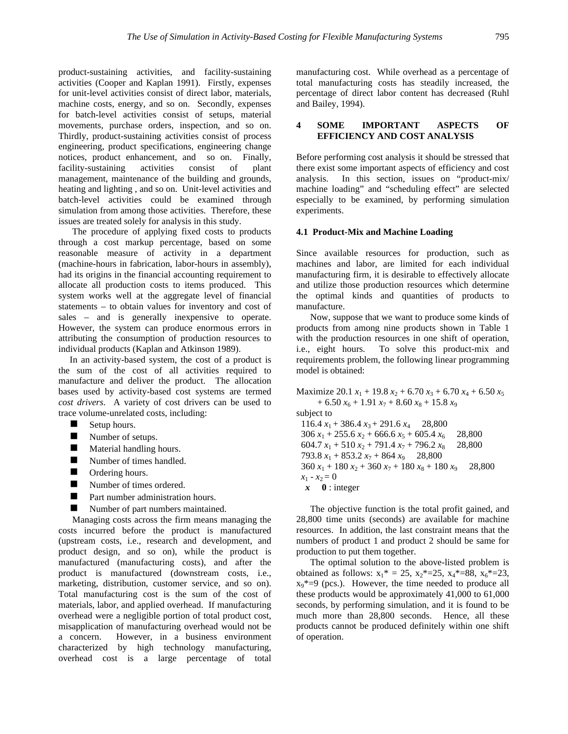product-sustaining activities, and facility-sustaining activities (Cooper and Kaplan 1991). Firstly, expenses for unit-level activities consist of direct labor, materials, machine costs, energy, and so on. Secondly, expenses for batch-level activities consist of setups, material movements, purchase orders, inspection, and so on. Thirdly, product-sustaining activities consist of process engineering, product specifications, engineering change notices, product enhancement, and so on. Finally, facility-sustaining activities consist of plant management, maintenance of the building and grounds, heating and lighting , and so on. Unit-level activities and batch-level activities could be examined through simulation from among those activities. Therefore, these issues are treated solely for analysis in this study.

The procedure of applying fixed costs to products through a cost markup percentage, based on some reasonable measure of activity in a department (machine-hours in fabrication, labor-hours in assembly), had its origins in the financial accounting requirement to allocate all production costs to items produced. This system works well at the aggregate level of financial statements – to obtain values for inventory and cost of sales – and is generally inexpensive to operate. However, the system can produce enormous errors in attributing the consumption of production resources to individual products (Kaplan and Atkinson 1989).

In an activity-based system, the cost of a product is the sum of the cost of all activities required to manufacture and deliver the product. The allocation bases used by activity-based cost systems are termed *cost drivers*. A variety of cost drivers can be used to trace volume-unrelated costs, including:

- $\blacksquare$  Setup hours.
- $\blacksquare$  Number of setups.
- **Naterial handling hours.**
- Number of times handled.
- $\blacksquare$  Ordering hours.
- $\blacksquare$  Number of times ordered.
- **n** Part number administration hours.
- Number of part numbers maintained.

Managing costs across the firm means managing the costs incurred before the product is manufactured (upstream costs, i.e., research and development, and product design, and so on), while the product is manufactured (manufacturing costs), and after the product is manufactured (downstream costs, i.e., marketing, distribution, customer service, and so on). Total manufacturing cost is the sum of the cost of materials, labor, and applied overhead. If manufacturing overhead were a negligible portion of total product cost, misapplication of manufacturing overhead would not be a concern. However, in a business environment characterized by high technology manufacturing, overhead cost is a large percentage of total manufacturing cost. While overhead as a percentage of total manufacturing costs has steadily increased, the percentage of direct labor content has decreased (Ruhl and Bailey, 1994).

# **4 SOME IMPORTANT ASPECTS OF EFFICIENCY AND COST ANALYSIS**

Before performing cost analysis it should be stressed that there exist some important aspects of efficiency and cost analysis. In this section, issues on "product-mix/ machine loading" and "scheduling effect" are selected especially to be examined, by performing simulation experiments.

#### **4.1 Product-Mix and Machine Loading**

Since available resources for production, such as machines and labor, are limited for each individual manufacturing firm, it is desirable to effectively allocate and utilize those production resources which determine the optimal kinds and quantities of products to manufacture.

Now, suppose that we want to produce some kinds of products from among nine products shown in Table 1 with the production resources in one shift of operation, i.e., eight hours. To solve this product-mix and requirements problem, the following linear programming model is obtained:

Maximize 20.1  $x_1$  + 19.8  $x_2$  + 6.70  $x_3$  + 6.70  $x_4$  + 6.50  $x_5$  $+ 6.50 x_6 + 1.91 x_7 + 8.60 x_8 + 15.8 x_9$ subject to  $116.4 x_1 + 386.4 x_3 + 291.6 x_4$  28,800  $306 x_1 + 255.6 x_2 + 666.6 x_5 + 605.4 x_6$  28,800 604.7  $x_1$  + 510  $x_2$  + 791.4  $x_7$  + 796.2  $x_8$  28,800 793.8  $x_1 + 853.2 x_7 + 864 x_9$  28,800  $360 x_1 + 180 x_2 + 360 x_7 + 180 x_8 + 180 x_9$  28,800  $x_1 - x_2 = 0$ *x* **0** : integer

The objective function is the total profit gained, and 28,800 time units (seconds) are available for machine resources. In addition, the last constraint means that the numbers of product 1 and product 2 should be same for production to put them together.

The optimal solution to the above-listed problem is obtained as follows:  $x_1^* = 25$ ,  $x_2^* = 25$ ,  $x_4^* = 88$ ,  $x_6^* = 23$ ,  $x_9^*$ =9 (pcs.). However, the time needed to produce all these products would be approximately 41,000 to 61,000 seconds, by performing simulation, and it is found to be much more than 28,800 seconds. Hence, all these products cannot be produced definitely within one shift of operation.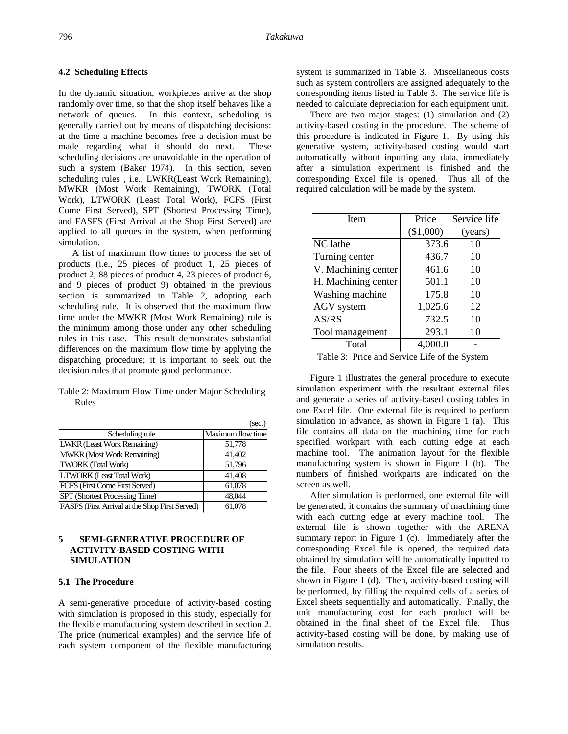### **4.2 Scheduling Effects**

In the dynamic situation, workpieces arrive at the shop randomly over time, so that the shop itself behaves like a network of queues. In this context, scheduling is generally carried out by means of dispatching decisions: at the time a machine becomes free a decision must be made regarding what it should do next. These scheduling decisions are unavoidable in the operation of such a system (Baker 1974). In this section, seven scheduling rules , i.e., LWKR(Least Work Remaining), MWKR (Most Work Remaining), TWORK (Total Work), LTWORK (Least Total Work), FCFS (First Come First Served), SPT (Shortest Processing Time), and FASFS (First Arrival at the Shop First Served) are applied to all queues in the system, when performing simulation.

A list of maximum flow times to process the set of products (i.e., 25 pieces of product 1, 25 pieces of product 2, 88 pieces of product 4, 23 pieces of product 6, and 9 pieces of product 9) obtained in the previous section is summarized in Table 2, adopting each scheduling rule. It is observed that the maximum flow time under the MWKR (Most Work Remaining) rule is the minimum among those under any other scheduling rules in this case. This result demonstrates substantial differences on the maximum flow time by applying the dispatching procedure; it is important to seek out the decision rules that promote good performance.

Table 2: Maximum Flow Time under Major Scheduling Rules

|                                                | (sec.)            |
|------------------------------------------------|-------------------|
| Scheduling rule                                | Maximum flow time |
| <b>LWKR</b> (Least Work Remaining)             | 51,778            |
| MWKR (Most Work Remaining)                     | 41,402            |
| <b>TWORK (Total Work)</b>                      | 51,796            |
| LTWORK (Least Total Work)                      | 41,408            |
| FCFS (First Come First Served)                 | 61,078            |
| SPT (Shortest Processing Time)                 | 48.044            |
| FASFS (First Arrival at the Shop First Served) | 61.078            |

# **5 SEMI-GENERATIVE PROCEDURE OF ACTIVITY-BASED COSTING WITH SIMULATION**

### **5.1 The Procedure**

A semi-generative procedure of activity-based costing with simulation is proposed in this study, especially for the flexible manufacturing system described in section 2. The price (numerical examples) and the service life of each system component of the flexible manufacturing

system is summarized in Table 3. Miscellaneous costs such as system controllers are assigned adequately to the corresponding items listed in Table 3. The service life is needed to calculate depreciation for each equipment unit.

There are two major stages: (1) simulation and (2) activity-based costing in the procedure. The scheme of this procedure is indicated in Figure 1. By using this generative system, activity-based costing would start automatically without inputting any data, immediately after a simulation experiment is finished and the corresponding Excel file is opened. Thus all of the required calculation will be made by the system.

| Item                | Price     | Service life |  |  |
|---------------------|-----------|--------------|--|--|
|                     | (\$1,000) | (years)      |  |  |
| NC lathe            | 373.6     | 10           |  |  |
| Turning center      | 436.7     | 10           |  |  |
| V. Machining center | 461.6     | 10           |  |  |
| H. Machining center | 501.1     | 10           |  |  |
| Washing machine     | 175.8     | 10           |  |  |
| <b>AGV</b> system   | 1,025.6   | 12           |  |  |
| AS/RS               | 732.5     | 10           |  |  |
| Tool management     | 293.1     | 10           |  |  |
| Total               | 4.000.0   |              |  |  |

Table 3: Price and Service Life of the System

Figure 1 illustrates the general procedure to execute simulation experiment with the resultant external files and generate a series of activity-based costing tables in one Excel file. One external file is required to perform simulation in advance, as shown in Figure 1 (a). This file contains all data on the machining time for each specified workpart with each cutting edge at each machine tool. The animation layout for the flexible manufacturing system is shown in Figure 1 (b). The numbers of finished workparts are indicated on the screen as well.

After simulation is performed, one external file will be generated; it contains the summary of machining time with each cutting edge at every machine tool. The external file is shown together with the ARENA summary report in Figure 1 (c). Immediately after the corresponding Excel file is opened, the required data obtained by simulation will be automatically inputted to the file. Four sheets of the Excel file are selected and shown in Figure 1 (d). Then, activity-based costing will be performed, by filling the required cells of a series of Excel sheets sequentially and automatically. Finally, the unit manufacturing cost for each product will be obtained in the final sheet of the Excel file. Thus activity-based costing will be done, by making use of simulation results.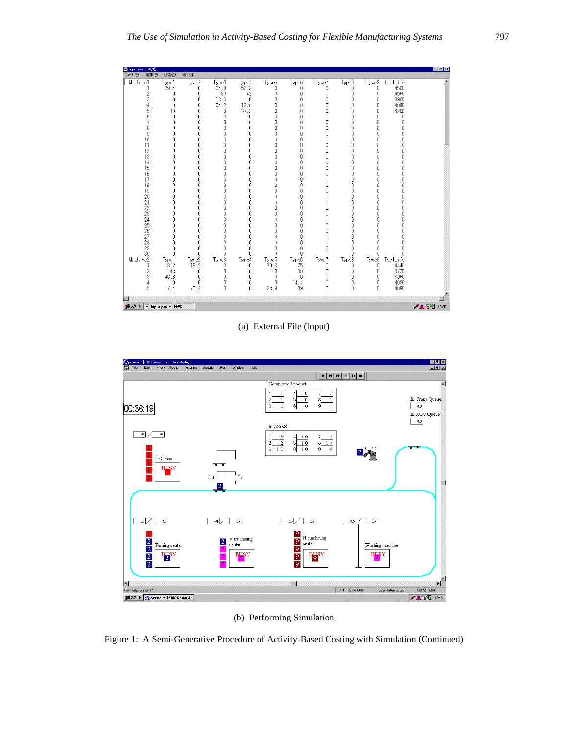

(a) External File (Input)



(b) Performing Simulation

Figure 1: A Semi-Generative Procedure of Activity-Based Costing with Simulation (Continued)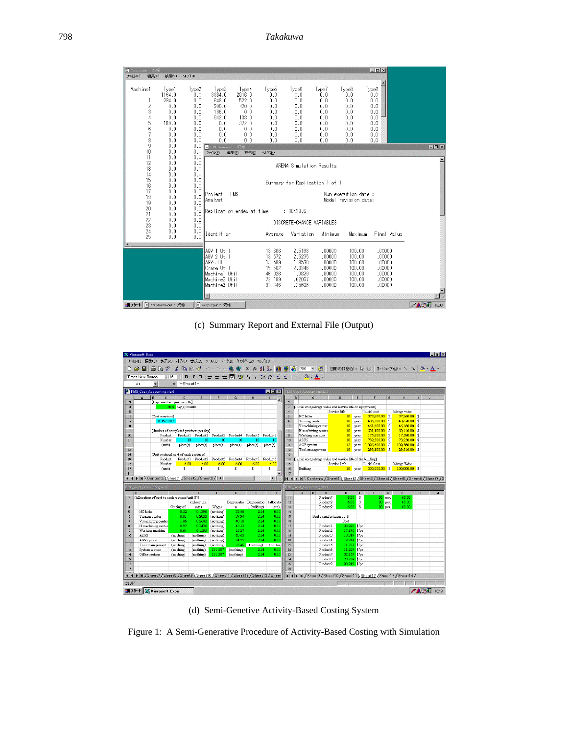| ■ Outputprn - 妊帳              |                                        |                                   |                                                                                                          |                                          |                                                                    |                                                                    |                                                                    |                                                                    | $  D  \times$                                                      |                  |
|-------------------------------|----------------------------------------|-----------------------------------|----------------------------------------------------------------------------------------------------------|------------------------------------------|--------------------------------------------------------------------|--------------------------------------------------------------------|--------------------------------------------------------------------|--------------------------------------------------------------------|--------------------------------------------------------------------|------------------|
| ファイル(F)<br>編集(E)              | 検索(S)                                  | AIL7 <sup>7</sup> CH2             |                                                                                                          |                                          |                                                                    |                                                                    |                                                                    |                                                                    |                                                                    |                  |
| Machine1<br>2<br>3            | Type1<br>1164.0<br>294.0<br>0.0<br>0.0 | Type2<br>0.0<br>0.0<br>0.0<br>0.0 | Type3<br>3864.0<br>648.0<br>900.0<br>186.0                                                               | Type4<br>2916.0<br>522.0<br>420.0<br>0.0 | Type <sub>5</sub><br>0.0<br>0.0<br>0.0<br>0.0                      | Type <sub>6</sub><br>0.0<br>0.0<br>0.0<br>0.0                      | Type7<br>0.0<br>0.0<br>0.0<br>0.0                                  | Type8<br>0.0<br>0.0<br>0.0<br>0.0                                  | Type9<br>0.0<br>0.0<br>0.0<br>0.0                                  |                  |
| 5<br>6<br>7<br>8              | 0.0<br>180.0<br>0.0<br>0.0<br>0.0      | 0.0<br>0.0<br>0.0<br>0.0<br>0.0   | 642.0<br>0.0<br>0.0<br>0.0<br>0.0                                                                        | 138.0<br>372.0<br>0.0<br>0.0<br>0.0      | 0.0<br>0.0<br>0.0<br>0.0<br>0.0                                    | 0.0<br>0.0<br>0.0<br>0.0<br>0.0                                    | 0.0<br>0.0<br>0.0<br>0.0<br>0.0                                    | 0.0<br>0.0<br>0.0<br>0.0<br>0.0                                    | 0.0<br>0.0<br>0.0<br>0.0<br>0.0                                    |                  |
| $\theta$<br>10                | 0.0<br>0.0                             | 0.0<br>0.0                        | ■ FMSDemo.out - 妊帳                                                                                       |                                          |                                                                    |                                                                    |                                                                    |                                                                    |                                                                    | $ \Box$ $\times$ |
| 11                            | 0.0                                    | 0.0                               | ファイル(E)<br>編集(E)                                                                                         | 検索(S)                                    | <b>NIJ'(H)</b>                                                     |                                                                    |                                                                    |                                                                    |                                                                    |                  |
| 12<br>13<br>14                | 0.0<br>0.0<br>0.0                      | $0.0$<br>0.0<br>0.0               |                                                                                                          |                                          |                                                                    | ARENA Simulation Results                                           |                                                                    |                                                                    |                                                                    |                  |
| 15<br>16                      | 0.0<br>0.0                             | 0.0<br>0.0                        |                                                                                                          |                                          |                                                                    | Summary for Replication 1 of 1                                     |                                                                    |                                                                    |                                                                    |                  |
| 17<br>18<br>19                | 0.0<br>0.0<br>0.0                      | 0.0<br>0.0<br>0.0                 | Project:<br>Analyst:                                                                                     | <b>FMS</b>                               |                                                                    |                                                                    |                                                                    | Run execution date :<br>Model revision date:                       |                                                                    |                  |
| 20<br>21                      | 0.0<br>0.0                             | 0.0<br>0.0                        | Replication ended at time                                                                                |                                          |                                                                    | : 30439.6                                                          |                                                                    |                                                                    |                                                                    |                  |
| $\overline{22}$<br>23         | 0.0<br>0.0                             | 0.0<br>0.0                        |                                                                                                          |                                          |                                                                    | DISCRETE-CHANGE VARIABLES                                          |                                                                    |                                                                    |                                                                    |                  |
| 24<br>25                      | 0.0<br>0.0                             | 0.0<br>0.0                        | Identifier                                                                                               |                                          | Average                                                            | Variation                                                          | Minimum                                                            | Maximum                                                            | Final Value                                                        |                  |
|                               |                                        |                                   | AGV 1 Util<br>AGV 2 Util<br>IAGVs Util<br> Crane Util<br>Machine1 Util<br>Machine2 Util<br>Machine3 Util |                                          | 13.606<br>13.572<br>13.589<br>15.502<br>46.026<br>72.189<br>93.846 | 2.5198<br>2.5235<br>1.8530<br>2.3346<br>1.0829<br>.62067<br>.25606 | .00000<br>.00000<br>.00000<br>.00000<br>.00000<br>.00000<br>.00000 | 100.00<br>100.00<br>100.00<br>100.00<br>100.00<br>100.00<br>100.00 | .00000<br>.00000<br>.00000<br>.00000<br>.00000<br>.00000<br>.00000 |                  |
|                               |                                        |                                   |                                                                                                          |                                          |                                                                    |                                                                    |                                                                    |                                                                    |                                                                    |                  |
| ※ スタート       FMSDemo.out - 妊帳 |                                        |                                   | ■ Output.prn - 妊帳                                                                                        |                                          |                                                                    |                                                                    |                                                                    |                                                                    |                                                                    | 7 ▲ 39<br>13:03  |

### (c) Summary Report and External File (Output)



(d) Semi-Genetive Activity-Based Costing System

Figure 1: A Semi-Generative Procedure of Activity-Based Costing with Simulation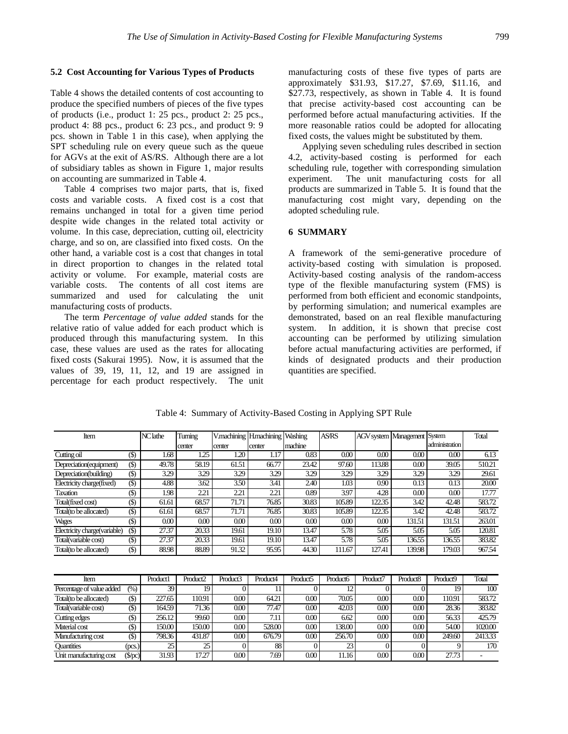# **5.2 Cost Accounting for Various Types of Products**

Table 4 shows the detailed contents of cost accounting to produce the specified numbers of pieces of the five types of products (i.e., product 1: 25 pcs., product 2: 25 pcs., product 4: 88 pcs., product 6: 23 pcs., and product 9: 9 pcs. shown in Table 1 in this case), when applying the SPT scheduling rule on every queue such as the queue for AGVs at the exit of AS/RS. Although there are a lot of subsidiary tables as shown in Figure 1, major results on accounting are summarized in Table 4.

Table 4 comprises two major parts, that is, fixed costs and variable costs. A fixed cost is a cost that remains unchanged in total for a given time period despite wide changes in the related total activity or volume. In this case, depreciation, cutting oil, electricity charge, and so on, are classified into fixed costs. On the other hand, a variable cost is a cost that changes in total in direct proportion to changes in the related total activity or volume. For example, material costs are variable costs. The contents of all cost items are summarized and used for calculating the unit manufacturing costs of products.

The term *Percentage of value added* stands for the relative ratio of value added for each product which is produced through this manufacturing system. In this case, these values are used as the rates for allocating fixed costs (Sakurai 1995). Now, it is assumed that the values of 39, 19, 11, 12, and 19 are assigned in percentage for each product respectively. The unit

manufacturing costs of these five types of parts are approximately \$31.93, \$17.27, \$7.69, \$11.16, and \$27.73, respectively, as shown in Table 4. It is found that precise activity-based cost accounting can be performed before actual manufacturing activities. If the more reasonable ratios could be adopted for allocating fixed costs, the values might be substituted by them.

Applying seven scheduling rules described in section 4.2, activity-based costing is performed for each scheduling rule, together with corresponding simulation experiment. The unit manufacturing costs for all products are summarized in Table 5. It is found that the manufacturing cost might vary, depending on the adopted scheduling rule.

### **6 SUMMARY**

A framework of the semi-generative procedure of activity-based costing with simulation is proposed. Activity-based costing analysis of the random-access type of the flexible manufacturing system (FMS) is performed from both efficient and economic standpoints, by performing simulation; and numerical examples are demonstrated, based on an real flexible manufacturing system. In addition, it is shown that precise cost accounting can be performed by utilizing simulation before actual manufacturing activities are performed, if kinds of designated products and their production quantities are specified.

| Item                         |                  | <b>NC</b> lathe | Tuming               |          | V.machining H.machining | Washing              | AS/RS    |          | AGV system Management System |                | Total   |
|------------------------------|------------------|-----------------|----------------------|----------|-------------------------|----------------------|----------|----------|------------------------------|----------------|---------|
|                              |                  |                 | center               | center   | center                  | machine              |          |          |                              | administration |         |
| Cutting oil                  | $($ \$)          | 1.68            | 1.25                 | 1.20     | 1.17                    | 0.83                 | 0.00     | 0.00     | 0.00                         | 0.00           | 6.13    |
| Depreciation(equipment)      | $(\$)$           | 49.78           | 58.19                | 61.51    | 66.77                   | 23.42                | 97.60    | 113.88   | 0.00                         | 39.05          | 510.21  |
| Depreciation(building)       | $(\$)$           | 3.29            | 3.29                 | 3.29     | 3.29                    | 3.29                 | 3.29     | 3.29     | 3.29                         | 3.29           | 29.61   |
| Electricity charge (fixed)   | $(\$)$           | 4.88            | 3.62                 | 3.50     | 3.41                    | 2.40                 | 1.03     | 0.90     | 0.13                         | 0.13           | 20.00   |
| <b>Taxation</b>              | $($ \$)          | 1.98            | 2.21                 | 2.21     | 2.21                    | 0.89                 | 3.97     | 4.28     | 0.00                         | 0.00           | 17.77   |
| Total(fixed cost)            | $($ \$)          | 61.61           | 68.57                | 71.71    | 76.85                   | 30.83                | 105.89   | 122.35   | 3.42                         | 42.48          | 583.72  |
| Total(to be allocated)       | $($ \$)          | 61.61           | 68.57                | 71.71    | 76.85                   | 30.83                | 105.89   | 122.35   | 3.42                         | 42.48          | 583.72  |
| Wages                        | $\circledS$      | 0.00            | 0.00                 | 0.00     | 0.00                    | 0.00                 | 0.00     | 0.00     | 131.51                       | 131.51         | 263.01  |
| Electricity charge(variable) | $(\$)$           | 27.37           | 20.33                | 19.61    | 19.10                   | 13.47                | 5.78     | 5.05     | 5.05                         | 5.05           | 120.81  |
| Total(variable cost)         | $(\$)$           | 27.37           | 20.33                | 19.61    | 19.10                   | 13.47                | 5.78     | 5.05     | 136.55                       | 136.55         | 383.82  |
| Total(to be allocated)       | $(\$)$           | 88.98           | 88.89                | 91.32    | 95.95                   | 44.30                | 111.67   | 127.41   | 139.98                       | 179.03         | 967.54  |
|                              |                  |                 |                      |          |                         |                      |          |          |                              |                |         |
|                              |                  |                 |                      |          |                         |                      |          |          |                              |                |         |
| Item                         |                  | Product1        | Product <sub>2</sub> | Product3 | Product4                | Product <sub>5</sub> | Product6 | Product7 | Product <sub>8</sub>         | Product9       | Total   |
| Percentage of value added    | (% )             | 39              | 19                   |          | 11                      | 0                    | 12       |          | 0                            | 19             | 100     |
| Total(to be allocated)       | $(\$)$           | 227.65          | 110.91               | 0.00     | 64.21                   | 0.00                 | 70.05    | 0.00     | 0.00                         | 110.91         | 583.72  |
| Total(variable cost)         | $(\$)$           | 164.59          | 71.36                | 0.00     | 77.47                   | 0.00                 | 42.03    | 0.00     | 0.00                         | 28.36          | 383.82  |
| Cutting edges                | $(\$)$           | 256.12          | 99.60                | 0.00     | 7.11                    | 0.00                 | 6.62     | 0.00     | 0.00                         | 56.33          | 425.79  |
| Material cost                | $($ \$)          | 150.00          | 150.00               | 0.00     | 528.00                  | 0.00                 | 138.00   | 0.00     | 0.00                         | 54.00          | 1020.00 |
| Manufacturing cost           | $($ \$)          | 798.36          | 431.87               | 0.00     | 676.79                  | 0.00                 | 256.70   | 0.00     | 0.00                         | 249.60         | 2413.33 |
| <b>Ouantities</b>            | (pcs.)           | 25              | 25                   |          | 88                      | 0                    | 23       | 0        | 0                            | 9              | 170     |
| Unit manufacturing cost      | $(\sqrt[6]{pc})$ | 31.93           | 17.27                | 0.00     | 7.69                    | 0.00                 | 11.16    | 0.00     | 0.00                         | 27.73          |         |

Table 4: Summary of Activity-Based Costing in Applying SPT Rule